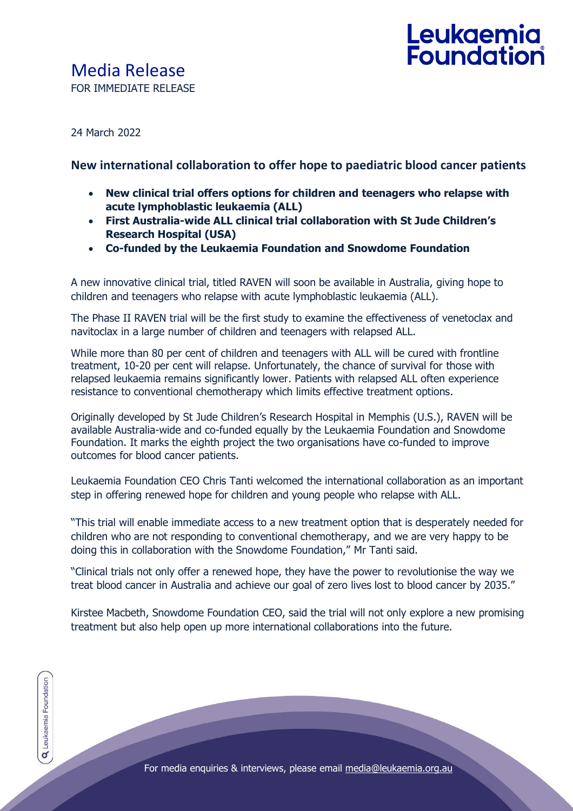# Leukaemia<br>Foundation

24 March 2022

### **New international collaboration to offer hope to paediatric blood cancer patients**

- **New clinical trial offers options for children and teenagers who relapse with acute lymphoblastic leukaemia (ALL)**
- **First Australia-wide ALL clinical trial collaboration with St Jude Children's Research Hospital (USA)**
- **Co-funded by the Leukaemia Foundation and Snowdome Foundation**

A new innovative clinical trial, titled RAVEN will soon be available in Australia, giving hope to children and teenagers who relapse with acute lymphoblastic leukaemia (ALL).

The Phase II RAVEN trial will be the first study to examine the effectiveness of venetoclax and navitoclax in a large number of children and teenagers with relapsed ALL.

While more than 80 per cent of children and teenagers with ALL will be cured with frontline treatment, 10-20 per cent will relapse. Unfortunately, the chance of survival for those with relapsed leukaemia remains significantly lower. Patients with relapsed ALL often experience resistance to conventional chemotherapy which limits effective treatment options.

Originally developed by St Jude Children's Research Hospital in Memphis (U.S.), RAVEN will be available Australia-wide and co-funded equally by the Leukaemia Foundation and Snowdome Foundation. It marks the eighth project the two organisations have co-funded to improve outcomes for blood cancer patients.

Leukaemia Foundation CEO Chris Tanti welcomed the international collaboration as an important step in offering renewed hope for children and young people who relapse with ALL.

"This trial will enable immediate access to a new treatment option that is desperately needed for children who are not responding to conventional chemotherapy, and we are very happy to be doing this in collaboration with the Snowdome Foundation," Mr Tanti said.

"Clinical trials not only offer a renewed hope, they have the power to revolutionise the way we treat blood cancer in Australia and achieve our goal of zero lives lost to blood cancer by 2035."

Kirstee Macbeth, Snowdome Foundation CEO, said the trial will not only explore a new promising treatment but also help open up more international collaborations into the future.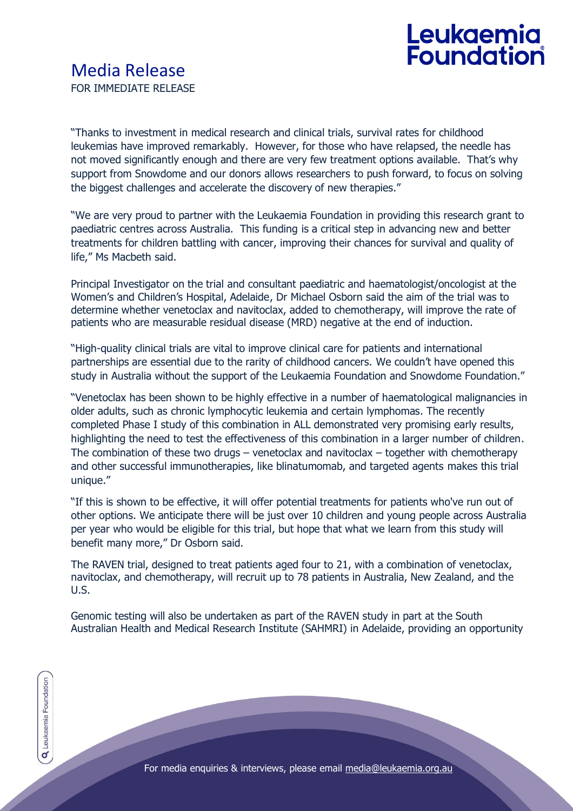"Thanks to investment in medical research and clinical trials, survival rates for childhood leukemias have improved remarkably. However, for those who have relapsed, the needle has not moved significantly enough and there are very few treatment options available. That's why support from Snowdome and our donors allows researchers to push forward, to focus on solving the biggest challenges and accelerate the discovery of new therapies."

"We are very proud to partner with the Leukaemia Foundation in providing this research grant to paediatric centres across Australia. This funding is a critical step in advancing new and better treatments for children battling with cancer, improving their chances for survival and quality of life," Ms Macbeth said.

Principal Investigator on the trial and consultant paediatric and haematologist/oncologist at the Women's and Children's Hospital, Adelaide, Dr Michael Osborn said the aim of the trial was to determine whether venetoclax and navitoclax, added to chemotherapy, will improve the rate of patients who are measurable residual disease (MRD) negative at the end of induction.

"High-quality clinical trials are vital to improve clinical care for patients and international partnerships are essential due to the rarity of childhood cancers. We couldn't have opened this study in Australia without the support of the Leukaemia Foundation and Snowdome Foundation."

"Venetoclax has been shown to be highly effective in a number of haematological malignancies in older adults, such as chronic lymphocytic leukemia and certain lymphomas. The recently completed Phase I study of this combination in ALL demonstrated very promising early results, highlighting the need to test the effectiveness of this combination in a larger number of children. The combination of these two drugs – venetoclax and navitoclax  $-$  together with chemotherapy and other successful immunotherapies, like blinatumomab, and targeted agents makes this trial unique."

"If this is shown to be effective, it will offer potential treatments for patients who've run out of other options. We anticipate there will be just over 10 children and young people across Australia per year who would be eligible for this trial, but hope that what we learn from this study will benefit many more," Dr Osborn said.

The RAVEN trial, designed to treat patients aged four to 21, with a combination of venetoclax, navitoclax, and chemotherapy, will recruit up to 78 patients in Australia, New Zealand, and the U.S.

Genomic testing will also be undertaken as part of the RAVEN study in part at the South Australian Health and Medical Research Institute (SAHMRI) in Adelaide, providing an opportunity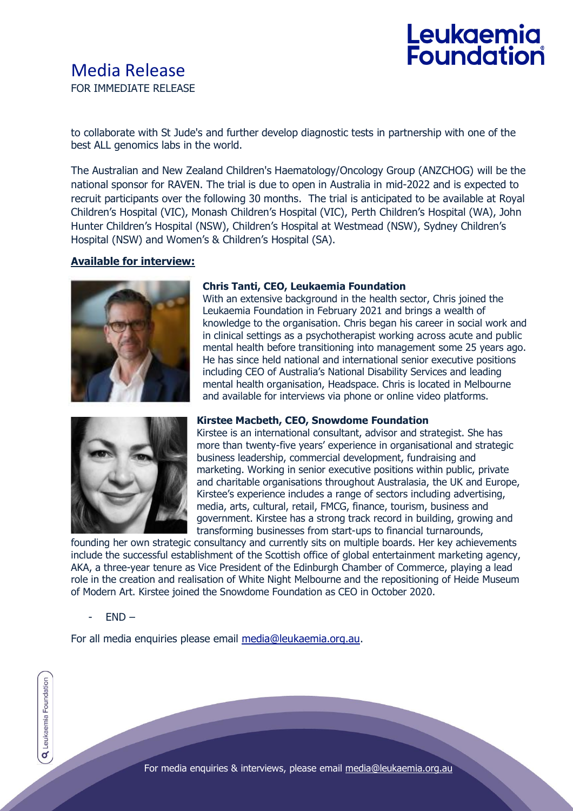## Media Release FOR IMMEDIATE RELEASE

# Leukaemia<br>Foundation

to collaborate with St Jude's and further develop diagnostic tests in partnership with one of the best ALL genomics labs in the world.

The Australian and New Zealand Children's Haematology/Oncology Group (ANZCHOG) will be the national sponsor for RAVEN. The trial is due to open in Australia in mid-2022 and is expected to recruit participants over the following 30 months. The trial is anticipated to be available at Royal Children's Hospital (VIC), Monash Children's Hospital (VIC), Perth Children's Hospital (WA), John Hunter Children's Hospital (NSW), Children's Hospital at Westmead (NSW), Sydney Children's Hospital (NSW) and Women's & Children's Hospital (SA).

#### **Available for interview:**



#### **Chris Tanti, CEO, Leukaemia Foundation**

With an extensive background in the health sector, Chris joined the Leukaemia Foundation in February 2021 and brings a wealth of knowledge to the organisation. Chris began his career in social work and in clinical settings as a psychotherapist working across acute and public mental health before transitioning into management some 25 years ago. He has since held national and international senior executive positions including CEO of Australia's National Disability Services and leading mental health organisation, Headspace. Chris is located in Melbourne and available for interviews via phone or online video platforms.



#### **Kirstee Macbeth, CEO, Snowdome Foundation**

Kirstee is an international consultant, advisor and strategist. She has more than twenty-five years' experience in organisational and strategic business leadership, commercial development, fundraising and marketing. Working in senior executive positions within public, private and charitable organisations throughout Australasia, the UK and Europe, Kirstee's experience includes a range of sectors including advertising, media, arts, cultural, retail, FMCG, finance, tourism, business and government. Kirstee has a strong track record in building, growing and transforming businesses from start-ups to financial turnarounds,

founding her own strategic consultancy and currently sits on multiple boards. Her key achievements include the successful establishment of the Scottish office of global entertainment marketing agency, AKA, a three-year tenure as Vice President of the Edinburgh Chamber of Commerce, playing a lead role in the creation and realisation of White Night Melbourne and the repositioning of Heide Museum of Modern Art. Kirstee joined the Snowdome Foundation as CEO in October 2020.

 $END -$ 

For all media enquiries please email [media@leukaemia.org.au.](mailto:media@leukaemia.org.au)